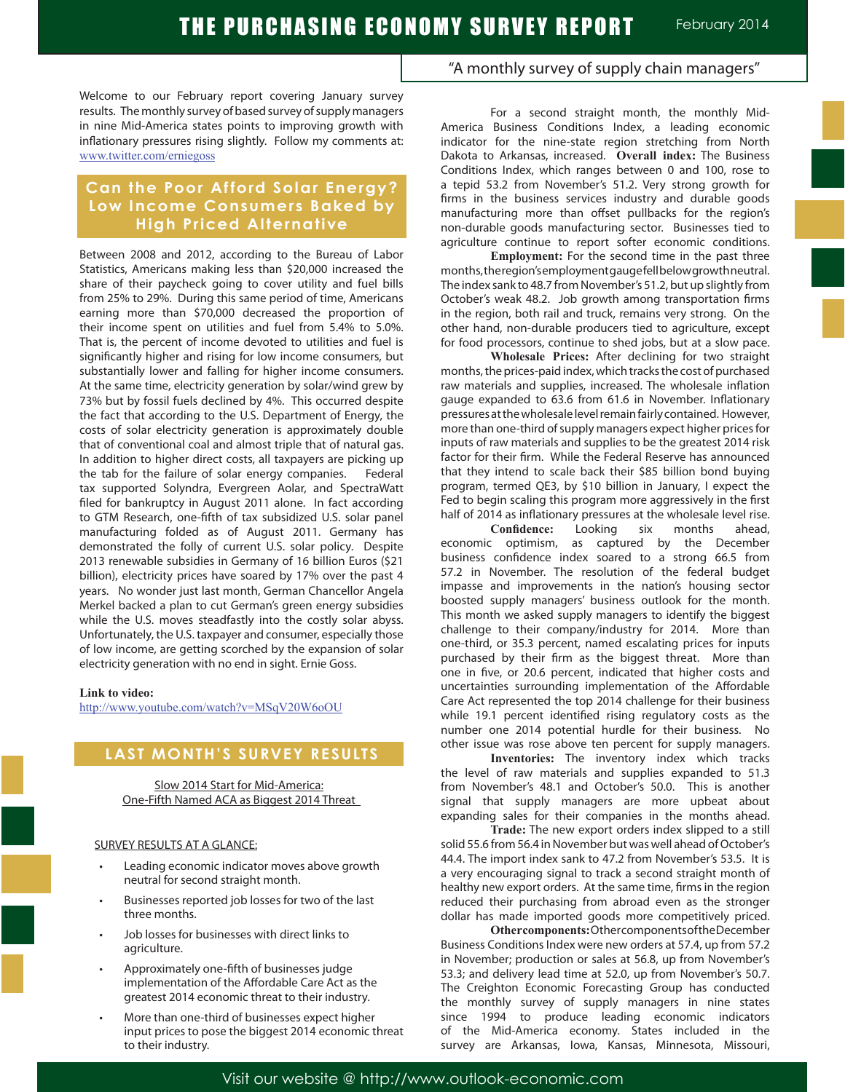Welcome to our February report covering January survey results. The monthly survey of based survey of supply managers in nine Mid-America states points to improving growth with inflationary pressures rising slightly. Follow my comments at: www.twitter.com/erniegoss

## **Can the Poor Afford Solar Energy? Low Income Consumers Baked by High Priced Alternative**

Between 2008 and 2012, according to the Bureau of Labor Statistics, Americans making less than \$20,000 increased the share of their paycheck going to cover utility and fuel bills from 25% to 29%. During this same period of time, Americans earning more than \$70,000 decreased the proportion of their income spent on utilities and fuel from 5.4% to 5.0%. That is, the percent of income devoted to utilities and fuel is significantly higher and rising for low income consumers, but substantially lower and falling for higher income consumers. At the same time, electricity generation by solar/wind grew by 73% but by fossil fuels declined by 4%. This occurred despite the fact that according to the U.S. Department of Energy, the costs of solar electricity generation is approximately double that of conventional coal and almost triple that of natural gas. In addition to higher direct costs, all taxpayers are picking up the tab for the failure of solar energy companies. Federal tax supported Solyndra, Evergreen Aolar, and SpectraWatt filed for bankruptcy in August 2011 alone. In fact according to GTM Research, one-fifth of tax subsidized U.S. solar panel manufacturing folded as of August 2011. Germany has demonstrated the folly of current U.S. solar policy. Despite 2013 renewable subsidies in Germany of 16 billion Euros (\$21 billion), electricity prices have soared by 17% over the past 4 years. No wonder just last month, German Chancellor Angela Merkel backed a plan to cut German's green energy subsidies while the U.S. moves steadfastly into the costly solar abyss. Unfortunately, the U.S. taxpayer and consumer, especially those of low income, are getting scorched by the expansion of solar electricity generation with no end in sight. Ernie Goss.

#### **Link to video:**

http://www.youtube.com/watch?v=MSqV20W6oOU

## **LAST MONTH'S SURVEY RESULTS**

Slow 2014 Start for Mid-America: One-Fifth Named ACA as Biggest 2014 Threat

#### SURVEY RESULTS AT A GLANCE:

- Leading economic indicator moves above growth neutral for second straight month.
- Businesses reported job losses for two of the last three months.
- Job losses for businesses with direct links to agriculture.
- Approximately one-fifth of businesses judge implementation of the Affordable Care Act as the greatest 2014 economic threat to their industry.
- More than one-third of businesses expect higher input prices to pose the biggest 2014 economic threat to their industry.

### "A monthly survey of supply chain managers"

For a second straight month, the monthly Mid-America Business Conditions Index, a leading economic indicator for the nine-state region stretching from North Dakota to Arkansas, increased. **Overall index:** The Business Conditions Index, which ranges between 0 and 100, rose to a tepid 53.2 from November's 51.2. Very strong growth for firms in the business services industry and durable goods manufacturing more than offset pullbacks for the region's non-durable goods manufacturing sector. Businesses tied to agriculture continue to report softer economic conditions.

**Employment:** For the second time in the past three months, the region's employment gauge fell below growth neutral. The index sank to 48.7 from November's 51.2, but up slightly from October's weak 48.2. Job growth among transportation firms in the region, both rail and truck, remains very strong. On the other hand, non-durable producers tied to agriculture, except for food processors, continue to shed jobs, but at a slow pace.

**Wholesale Prices:** After declining for two straight months, the prices-paid index, which tracks the cost of purchased raw materials and supplies, increased. The wholesale inflation gauge expanded to 63.6 from 61.6 in November. Inflationary pressures at the wholesale level remain fairly contained. However, more than one-third of supply managers expect higher prices for inputs of raw materials and supplies to be the greatest 2014 risk factor for their firm. While the Federal Reserve has announced that they intend to scale back their \$85 billion bond buying program, termed QE3, by \$10 billion in January, I expect the Fed to begin scaling this program more aggressively in the first half of 2014 as inflationary pressures at the wholesale level rise.<br>Confidence: Looking six months ahead.

**Confidence:** Looking six months economic optimism, as captured by the December business confidence index soared to a strong 66.5 from 57.2 in November. The resolution of the federal budget impasse and improvements in the nation's housing sector boosted supply managers' business outlook for the month. This month we asked supply managers to identify the biggest challenge to their company/industry for 2014. More than one-third, or 35.3 percent, named escalating prices for inputs purchased by their firm as the biggest threat. More than one in five, or 20.6 percent, indicated that higher costs and uncertainties surrounding implementation of the Affordable Care Act represented the top 2014 challenge for their business while 19.1 percent identified rising regulatory costs as the number one 2014 potential hurdle for their business. No other issue was rose above ten percent for supply managers.

**Inventories:** The inventory index which tracks the level of raw materials and supplies expanded to 51.3 from November's 48.1 and October's 50.0. This is another signal that supply managers are more upbeat about expanding sales for their companies in the months ahead.

**Trade:** The new export orders index slipped to a still solid 55.6 from 56.4 in November but was well ahead of October's 44.4. The import index sank to 47.2 from November's 53.5. It is a very encouraging signal to track a second straight month of healthy new export orders. At the same time, firms in the region reduced their purchasing from abroad even as the stronger dollar has made imported goods more competitively priced.

**Other components:** Other components of the December Business Conditions Index were new orders at 57.4, up from 57.2 in November; production or sales at 56.8, up from November's 53.3; and delivery lead time at 52.0, up from November's 50.7. The Creighton Economic Forecasting Group has conducted the monthly survey of supply managers in nine states since 1994 to produce leading economic indicators of the Mid-America economy. States included in the survey are Arkansas, Iowa, Kansas, Minnesota, Missouri,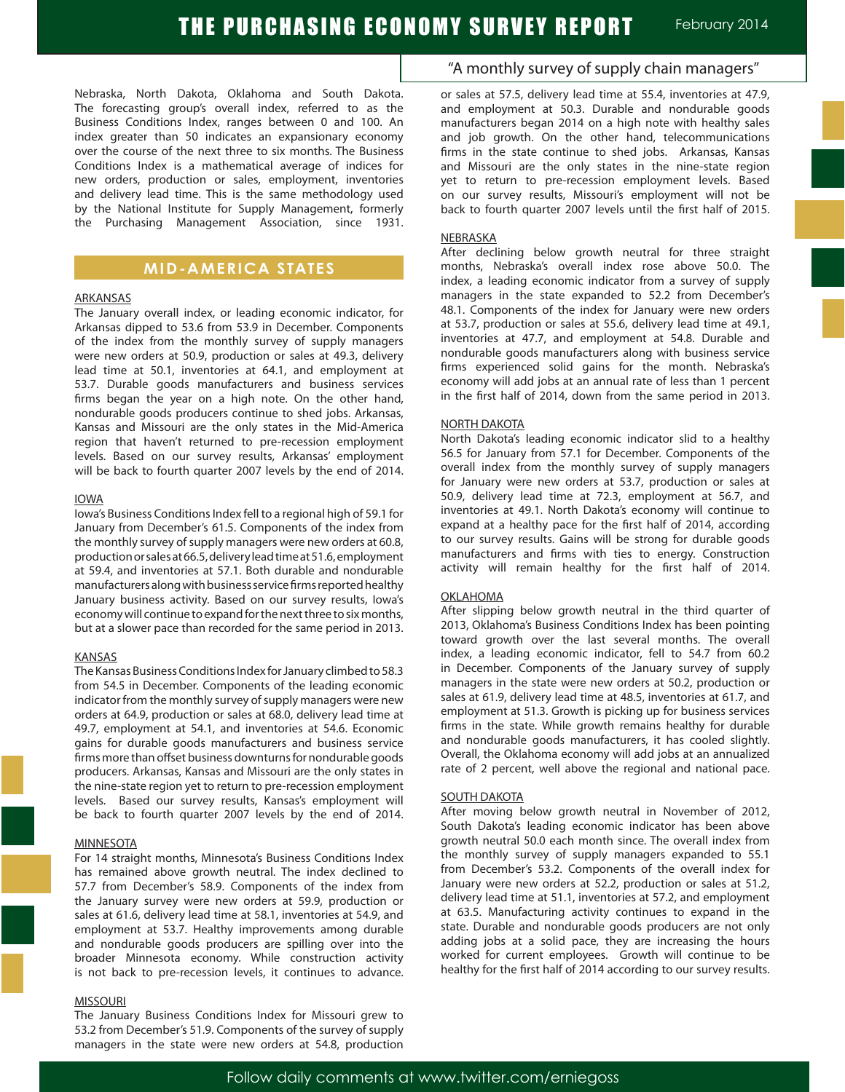Nebraska, North Dakota, Oklahoma and South Dakota. The forecasting group's overall index, referred to as the Business Conditions Index, ranges between 0 and 100. An index greater than 50 indicates an expansionary economy over the course of the next three to six months. The Business Conditions Index is a mathematical average of indices for new orders, production or sales, employment, inventories and delivery lead time. This is the same methodology used by the National Institute for Supply Management, formerly the Purchasing Management Association, since 1931.

### **MID-AMERICA STATES**

#### ARKANSAS

The January overall index, or leading economic indicator, for Arkansas dipped to 53.6 from 53.9 in December. Components of the index from the monthly survey of supply managers were new orders at 50.9, production or sales at 49.3, delivery lead time at 50.1, inventories at 64.1, and employment at 53.7. Durable goods manufacturers and business services firms began the year on a high note. On the other hand, nondurable goods producers continue to shed jobs. Arkansas, Kansas and Missouri are the only states in the Mid-America region that haven't returned to pre-recession employment levels. Based on our survey results, Arkansas' employment will be back to fourth quarter 2007 levels by the end of 2014.

#### IOWA

Iowa's Business Conditions Index fell to a regional high of 59.1 for January from December's 61.5. Components of the index from the monthly survey of supply managers were new orders at 60.8, production or sales at 66.5, delivery lead time at 51.6, employment at 59.4, and inventories at 57.1. Both durable and nondurable manufacturers along with business service firms reported healthy January business activity. Based on our survey results, Iowa's economy will continue to expand for the next three to six months, but at a slower pace than recorded for the same period in 2013.

#### KANSAS

The Kansas Business Conditions Index for January climbed to 58.3 from 54.5 in December. Components of the leading economic indicator from the monthly survey of supply managers were new orders at 64.9, production or sales at 68.0, delivery lead time at 49.7, employment at 54.1, and inventories at 54.6. Economic gains for durable goods manufacturers and business service firms more than offset business downturns for nondurable goods producers. Arkansas, Kansas and Missouri are the only states in the nine-state region yet to return to pre-recession employment levels. Based our survey results, Kansas's employment will be back to fourth quarter 2007 levels by the end of 2014.

#### **MINNESOTA**

For 14 straight months, Minnesota's Business Conditions Index has remained above growth neutral. The index declined to 57.7 from December's 58.9. Components of the index from the January survey were new orders at 59.9, production or sales at 61.6, delivery lead time at 58.1, inventories at 54.9, and employment at 53.7. Healthy improvements among durable and nondurable goods producers are spilling over into the broader Minnesota economy. While construction activity is not back to pre-recession levels, it continues to advance.

#### MISSOURI

The January Business Conditions Index for Missouri grew to 53.2 from December's 51.9. Components of the survey of supply managers in the state were new orders at 54.8, production

## "A monthly survey of supply chain managers"

or sales at 57.5, delivery lead time at 55.4, inventories at 47.9, and employment at 50.3. Durable and nondurable goods manufacturers began 2014 on a high note with healthy sales and job growth. On the other hand, telecommunications firms in the state continue to shed jobs. Arkansas, Kansas and Missouri are the only states in the nine-state region yet to return to pre-recession employment levels. Based on our survey results, Missouri's employment will not be back to fourth quarter 2007 levels until the first half of 2015.

#### NEBRASKA

After declining below growth neutral for three straight months, Nebraska's overall index rose above 50.0. The index, a leading economic indicator from a survey of supply managers in the state expanded to 52.2 from December's 48.1. Components of the index for January were new orders at 53.7, production or sales at 55.6, delivery lead time at 49.1, inventories at 47.7, and employment at 54.8. Durable and nondurable goods manufacturers along with business service firms experienced solid gains for the month. Nebraska's economy will add jobs at an annual rate of less than 1 percent in the first half of 2014, down from the same period in 2013.

#### NORTH DAKOTA

North Dakota's leading economic indicator slid to a healthy 56.5 for January from 57.1 for December. Components of the overall index from the monthly survey of supply managers for January were new orders at 53.7, production or sales at 50.9, delivery lead time at 72.3, employment at 56.7, and inventories at 49.1. North Dakota's economy will continue to expand at a healthy pace for the first half of 2014, according to our survey results. Gains will be strong for durable goods manufacturers and firms with ties to energy. Construction activity will remain healthy for the first half of 2014.

#### OKLAHOMA

After slipping below growth neutral in the third quarter of 2013, Oklahoma's Business Conditions Index has been pointing toward growth over the last several months. The overall index, a leading economic indicator, fell to 54.7 from 60.2 in December. Components of the January survey of supply managers in the state were new orders at 50.2, production or sales at 61.9, delivery lead time at 48.5, inventories at 61.7, and employment at 51.3. Growth is picking up for business services firms in the state. While growth remains healthy for durable and nondurable goods manufacturers, it has cooled slightly. Overall, the Oklahoma economy will add jobs at an annualized rate of 2 percent, well above the regional and national pace.

#### SOUTH DAKOTA

After moving below growth neutral in November of 2012, South Dakota's leading economic indicator has been above growth neutral 50.0 each month since. The overall index from the monthly survey of supply managers expanded to 55.1 from December's 53.2. Components of the overall index for January were new orders at 52.2, production or sales at 51.2, delivery lead time at 51.1, inventories at 57.2, and employment at 63.5. Manufacturing activity continues to expand in the state. Durable and nondurable goods producers are not only adding jobs at a solid pace, they are increasing the hours worked for current employees. Growth will continue to be healthy for the first half of 2014 according to our survey results.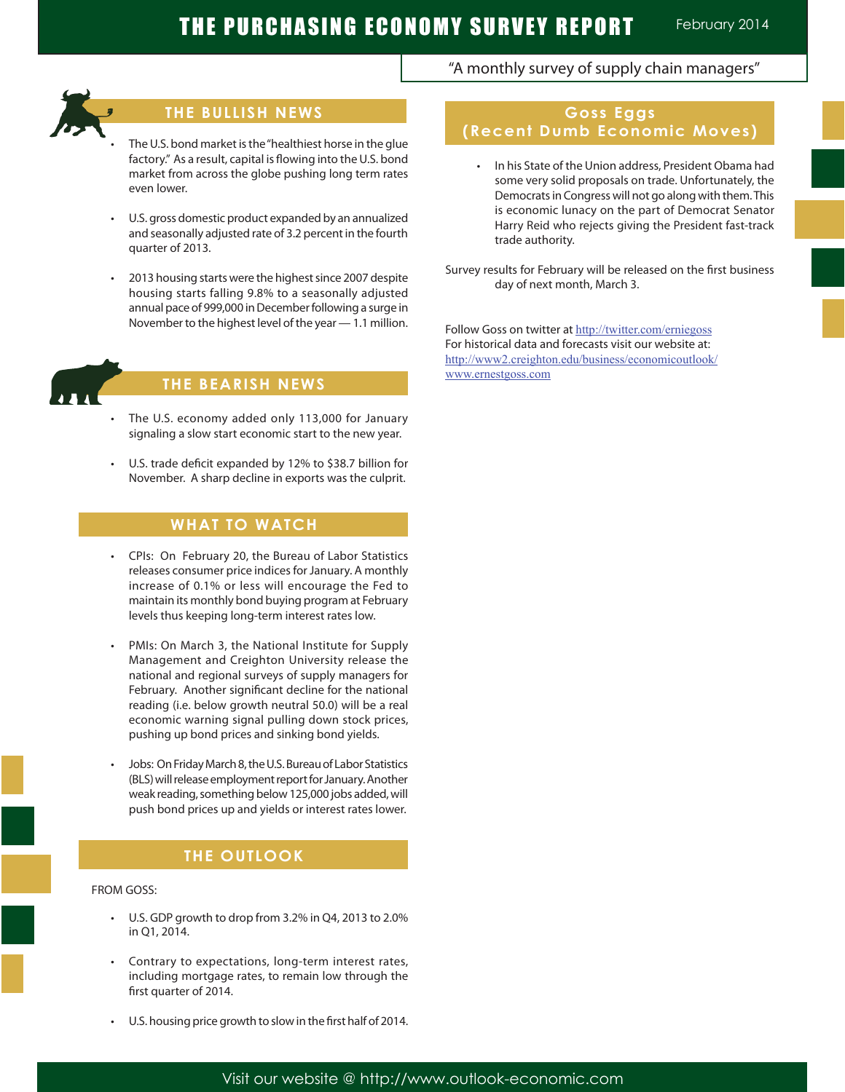## **THE BULLISH NEWS**

- The U.S. bond market is the "healthiest horse in the glue factory." As a result, capital is flowing into the U.S. bond market from across the globe pushing long term rates even lower.
- U.S. gross domestic product expanded by an annualized and seasonally adjusted rate of 3.2 percent in the fourth quarter of 2013.
- 2013 housing starts were the highest since 2007 despite housing starts falling 9.8% to a seasonally adjusted annual pace of 999,000 in December following a surge in November to the highest level of the year — 1.1 million.



Ĩ

## **THE BEARISH NEWS**

- The U.S. economy added only 113,000 for January signaling a slow start economic start to the new year.
- U.S. trade deficit expanded by 12% to \$38.7 billion for November. A sharp decline in exports was the culprit.

## **WHAT TO WATCH**

- CPIs: On February 20, the Bureau of Labor Statistics releases consumer price indices for January. A monthly increase of 0.1% or less will encourage the Fed to maintain its monthly bond buying program at February levels thus keeping long-term interest rates low.
- PMIs: On March 3, the National Institute for Supply Management and Creighton University release the national and regional surveys of supply managers for February. Another significant decline for the national reading (i.e. below growth neutral 50.0) will be a real economic warning signal pulling down stock prices, pushing up bond prices and sinking bond yields.
- Jobs: On Friday March 8, the U.S. Bureau of Labor Statistics (BLS) will release employment report for January. Another weak reading, something below 125,000 jobs added, will push bond prices up and yields or interest rates lower.

## **THE OUTLOOK**

#### FROM GOSS:

- U.S. GDP growth to drop from 3.2% in Q4, 2013 to 2.0% in Q1, 2014.
- Contrary to expectations, long-term interest rates, including mortgage rates, to remain low through the first quarter of 2014.
- U.S. housing price growth to slow in the first half of 2014.

# **Goss Eggs (Recent Dumb Economic Moves)**

"A monthly survey of supply chain managers"

- • In his State of the Union address, President Obama had some very solid proposals on trade. Unfortunately, the Democrats in Congress will not go along with them. This is economic lunacy on the part of Democrat Senator Harry Reid who rejects giving the President fast-track trade authority.
- Survey results for February will be released on the first business day of next month, March 3.

Follow Goss on twitter at http://twitter.com/erniegoss For historical data and forecasts visit our website at: http://www2.creighton.edu/business/economicoutlook/ www.ernestgoss.com